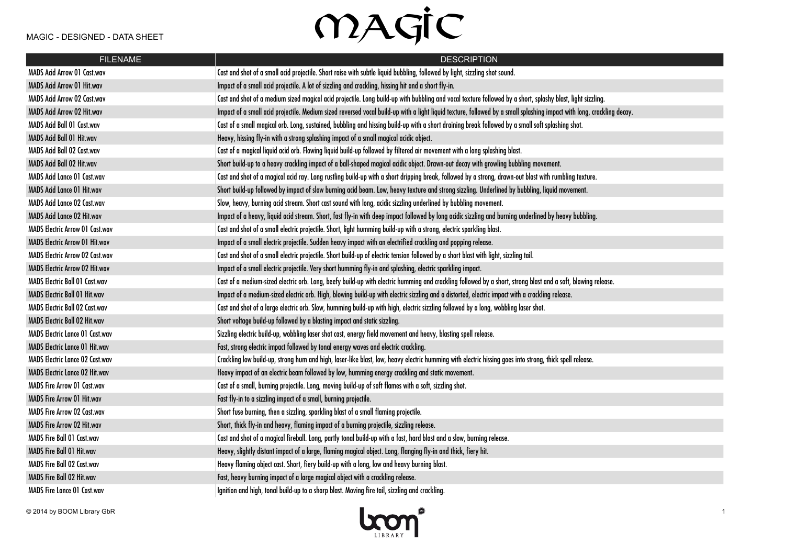| <b>FILENAME</b>                        | <b>DESCRIPTION</b>                                                                                                                                                    |
|----------------------------------------|-----------------------------------------------------------------------------------------------------------------------------------------------------------------------|
| MADS Acid Arrow 01 Cast.wav            | Cast and shot of a small acid projectile. Short raise with subtle liquid bubbling, followed by light, sizzling shot sound.                                            |
| MADS Acid Arrow 01 Hit.wav             | Impact of a small acid projectile. A lot of sizzling and crackling, hissing hit and a short fly-in.                                                                   |
| MADS Acid Arrow 02 Cast.wav            | Cast and shot of a medium sized magical acid projectile. Long build-up with bubbling and vocal texture followed by a short, splashy blast, light sizzling.            |
| <b>MADS Acid Arrow 02 Hit.wav</b>      | Impact of a small acid projectile. Medium sized reversed vocal build-up with a light liquid texture, followed by a small splashing impact with long, crackling decay. |
| MADS Acid Ball 01 Cast.wav             | Cast of a small magical orb. Long, sustained, bubbling and hissing build-up with a short draining break followed by a small soft splashing shot.                      |
| MADS Acid Ball 01 Hit.wav              | Heavy, hissing fly-in with a strong splashing impact of a small magical acidic object.                                                                                |
| MADS Acid Ball 02 Cast.wav             | Cast of a magical liquid acid orb. Flowing liquid build-up followed by filtered air movement with a long splashing blast.                                             |
| MADS Acid Ball 02 Hit.wav              | Short build-up to a heavy crackling impact of a ball-shaped magical acidic object. Drawn-out decay with growling bubbling movement.                                   |
| <b>MADS Acid Lance 01 Cast.wav</b>     | Cast and shot of a magical acid ray. Long rustling build-up with a short dripping break, followed by a strong, drawn-out blast with rumbling texture.                 |
| <b>MADS Acid Lance 01 Hit.wav</b>      | Short build-up followed by impact of slow burning acid beam. Low, heavy texture and strong sizzling. Underlined by bubbling, liquid movement.                         |
| <b>MADS Acid Lance 02 Cast.wav</b>     | Slow, heavy, burning acid stream. Short cast sound with long, acidic sizzling underlined by bubbling movement.                                                        |
| MADS Acid Lance 02 Hit.wav             | Impact of a heavy, liquid acid stream. Short, fast fly-in with deep impact followed by long acidic sizzling and burning underlined by heavy bubbling.                 |
| <b>MADS Electric Arrow 01 Cast.wav</b> | Cast and shot of a small electric projectile. Short, light humming build-up with a strong, electric sparkling blast.                                                  |
| <b>MADS Electric Arrow 01 Hit.wav</b>  | Impact of a small electric projectile. Sudden heavy impact with an electrified crackling and popping release.                                                         |
| <b>MADS Electric Arrow 02 Cast.wav</b> | Cast and shot of a small electric projectile. Short build-up of electric tension followed by a short blast with light, sizzling tail.                                 |
| <b>MADS Electric Arrow 02 Hit.wav</b>  | Impact of a small electric projectile. Very short humming fly-in and splashing, electric sparkling impact.                                                            |
| <b>MADS Electric Ball 01 Cast.wav</b>  | Cast of a medium-sized electric orb. Long, beefy build-up with electric humming and crackling followed by a short, strong blast and a soft, blowing release.          |
| <b>MADS Electric Ball 01 Hit.wav</b>   | Impact of a medium-sized electric orb. High, blowing build-up with electric sizzling and a distorted, electric impact with a crackling release.                       |
| <b>MADS Electric Ball 02 Cast.wav</b>  | Cast and shot of a large electric orb. Slow, humming build-up with high, electric sizzling followed by a long, wobbling laser shot.                                   |
| MADS Electric Ball 02 Hit.wav          | Short voltage build-up followed by a blasting impact and static sizzling.                                                                                             |
| <b>MADS Electric Lance 01 Cast.wav</b> | Sizzling electric build-up, wobbling laser shot cast, energy field movement and heavy, blasting spell release.                                                        |
| <b>MADS Electric Lance 01 Hit.wav</b>  | Fast, strong electric impact followed by tonal energy waves and electric crackling.                                                                                   |
| <b>MADS Electric Lance 02 Cast.wav</b> | Crackling low build-up, strong hum and high, laser-like blast, low, heavy electric humming with electric hissing goes into strong, thick spell release.               |
| MADS Electric Lance 02 Hit.wav         | Heavy impact of an electric beam followed by low, humming energy crackling and static movement.                                                                       |
| <b>MADS Fire Arrow 01 Cast.wav</b>     | Cast of a small, burning projectile. Long, moving build-up of soft flames with a soft, sizzling shot.                                                                 |
| <b>MADS Fire Arrow 01 Hit.wav</b>      | Fast fly-in to a sizzling impact of a small, burning projectile.                                                                                                      |
| <b>MADS Fire Arrow 02 Cast.wav</b>     | Short fuse burning, then a sizzling, sparkling blast of a small flaming projectile.                                                                                   |
| <b>MADS Fire Arrow 02 Hit.wav</b>      | Short, thick fly-in and heavy, flaming impact of a burning projectile, sizzling release.                                                                              |
| <b>MADS Fire Ball 01 Cast.wav</b>      | Cast and shot of a magical fireball. Long, partly tonal build-up with a fast, hard blast and a slow, burning release.                                                 |
| <b>MADS Fire Ball 01 Hit.wav</b>       | Heavy, slightly distant impact of a large, flaming magical object. Long, flanging fly-in and thick, fiery hit.                                                        |
| MADS Fire Ball 02 Cast.wav             | Heavy flaming object cast. Short, fiery build-up with a long, low and heavy burning blast.                                                                            |
| MADS Fire Ball 02 Hit.wav              | Fast, heavy burning impact of a large magical object with a crackling release.                                                                                        |
| <b>MADS Fire Lance 01 Cast.wav</b>     | Ignition and high, tonal build-up to a sharp blast. Moving fire tail, sizzling and crackling.                                                                         |

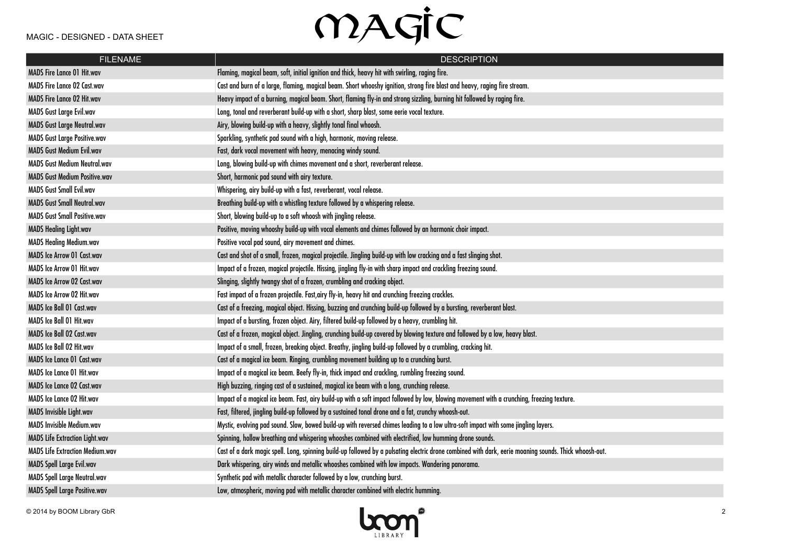| <b>FILENAME</b>                        | <b>DESCRIPTION</b>                                                                                                                                     |
|----------------------------------------|--------------------------------------------------------------------------------------------------------------------------------------------------------|
| <b>MADS Fire Lance 01 Hit.wav</b>      | Flaming, magical beam, soft, initial ignition and thick, heavy hit with swirling, raging fire.                                                         |
| <b>MADS Fire Lance 02 Cast.wav</b>     | Cast and burn of a large, flaming, magical beam. Short whooshy ignition, strong fire blast and heavy, raging fire stream.                              |
| <b>MADS Fire Lance 02 Hit.wav</b>      | Heavy impact of a burning, magical beam. Short, flaming fly-in and strong sizzling, burning hit followed by raging fire.                               |
| <b>MADS Gust Large Evil.wav</b>        | Long, tonal and reverberant build-up with a short, sharp blast, some eerie vocal texture.                                                              |
| <b>MADS Gust Large Neutral.wav</b>     | Airy, blowing build-up with a heavy, slightly tonal final whoosh.                                                                                      |
| <b>MADS Gust Large Positive.wav</b>    | Sparkling, synthetic pad sound with a high, harmonic, moving release.                                                                                  |
| <b>MADS Gust Medium Evil.wav</b>       | Fast, dark vocal movement with heavy, menacing windy sound.                                                                                            |
| <b>MADS Gust Medium Neutral.wav</b>    | Long, blowing build-up with chimes movement and a short, reverberant release.                                                                          |
| <b>MADS Gust Medium Positive.wav</b>   | Short, harmonic pad sound with airy texture.                                                                                                           |
| <b>MADS Gust Small Evil.wav</b>        | Whispering, airy build-up with a fast, reverberant, vocal release.                                                                                     |
| <b>MADS Gust Small Neutral.wav</b>     | Breathing build-up with a whistling texture followed by a whispering release.                                                                          |
| <b>MADS Gust Small Positive.wav</b>    | Short, blowing build-up to a soft whoosh with jingling release.                                                                                        |
| <b>MADS Healing Light.wav</b>          | Positive, moving whooshy build-up with vocal elements and chimes followed by an harmonic choir impact.                                                 |
| <b>MADS Healing Medium.wav</b>         | Positive vocal pad sound, airy movement and chimes.                                                                                                    |
| <b>MADS Ice Arrow 01 Cast.wav</b>      | Cast and shot of a small, frozen, magical projectile. Jingling build-up with low cracking and a fast slinging shot.                                    |
| MADS Ice Arrow 01 Hit.wav              | Impact of a frozen, magical projectile. Hissing, jingling fly-in with sharp impact and crackling freezing sound.                                       |
| MADS Ice Arrow 02 Cast.wav             | Slinging, slightly twangy shot of a frozen, crumbling and cracking object.                                                                             |
| MADS Ice Arrow 02 Hit.wav              | Fast impact of a frozen projectile. Fast, airy fly-in, heavy hit and crunching freezing crackles.                                                      |
| MADS Ice Ball 01 Cast.wav              | Cast of a freezing, magical object. Hissing, buzzing and crunching build-up followed by a bursting, reverberant blast.                                 |
| <b>MADS Ice Ball 01 Hit.wav</b>        | Impact of a bursting, frozen object. Airy, filtered build-up followed by a heavy, crumbling hit.                                                       |
| MADS Ice Ball 02 Cast.wav              | Cast of a frozen, magical object. Jingling, crunching build-up covered by blowing texture and followed by a low, heavy blast.                          |
| MADS Ice Ball 02 Hit.wav               | Impact of a small, frozen, breaking object. Breathy, jingling build-up followed by a crumbling, cracking hit.                                          |
| <b>MADS Ice Lance 01 Cast.wav</b>      | Cast of a magical ice beam. Ringing, crumbling movement building up to a crunching burst.                                                              |
| MADS Ice Lance 01 Hit.wav              | Impact of a magical ice beam. Beefy fly-in, thick impact and crackling, rumbling freezing sound.                                                       |
| <b>MADS Ice Lance 02 Cast.wav</b>      | High buzzing, ringing cast of a sustained, magical ice beam with a long, crunching release.                                                            |
| MADS Ice Lance 02 Hit.wav              | Impact of a magical ice beam. Fast, airy build-up with a soft impact followed by low, blowing movement with a crunching, freezing texture.             |
| MADS Invisible Light.wav               | Fast, filtered, jingling build-up followed by a sustained tonal drone and a fat, crunchy whoosh-out.                                                   |
| <b>MADS Invisible Medium.wav</b>       | Mystic, evolving pad sound. Slow, bowed build-up with reversed chimes leading to a low ultra-soft impact with some jingling layers.                    |
| MADS Life Extraction Light.wav         | Spinning, hollow breathing and whispering whooshes combined with electrified, low humming drone sounds.                                                |
| <b>MADS Life Extraction Medium.wav</b> | Cast of a dark magic spell. Long, spinning build-up followed by a pulsating electric drone combined with dark, eerie moaning sounds. Thick whoosh-out. |
| <b>MADS Spell Large Evil.wav</b>       | Dark whispering, airy winds and metallic whooshes combined with low impacts. Wandering panorama.                                                       |
| <b>MADS Spell Large Neutral.wav</b>    | Synthetic pad with metallic character followed by a low, crunching burst.                                                                              |
| <b>MADS Spell Large Positive.wav</b>   | Low, atmospheric, moving pad with metallic character combined with electric humming.                                                                   |

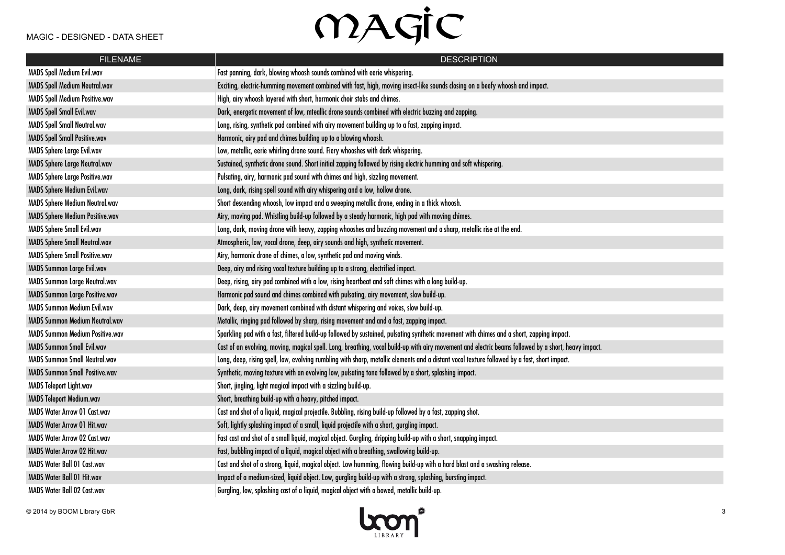| <b>FILENAME</b>                        | <b>DESCRIPTION</b>                                                                                                                                   |
|----------------------------------------|------------------------------------------------------------------------------------------------------------------------------------------------------|
| <b>MADS Spell Medium Evil.wav</b>      | Fast panning, dark, blowing whoosh sounds combined with eerie whispering.                                                                            |
| <b>MADS Spell Medium Neutral.wav</b>   | Exciting, electric-humming movement combined with fast, high, moving insect-like sounds closing on a beefy whoosh and impact.                        |
| <b>MADS Spell Medium Positive.wav</b>  | High, airy whoosh layered with short, harmonic choir stabs and chimes.                                                                               |
| <b>MADS Spell Small Evil.wav</b>       | Dark, energetic movement of low, mteallic drone sounds combined with electric buzzing and zapping.                                                   |
| <b>MADS Spell Small Neutral.wav</b>    | Long, rising, synthetic pad combined with airy movement building up to a fast, zapping impact.                                                       |
| <b>MADS Spell Small Positive.wav</b>   | Harmonic, airy pad and chimes building up to a blowing whoosh.                                                                                       |
| MADS Sphere Large Evil.wav             | Low, metallic, eerie whirling drone sound. Fiery whooshes with dark whispering.                                                                      |
| <b>MADS Sphere Large Neutral.wav</b>   | Sustained, synthetic drone sound. Short initial zapping followed by rising electric humming and soft whispering.                                     |
| <b>MADS Sphere Large Positive.wav</b>  | Pulsating, airy, harmonic pad sound with chimes and high, sizzling movement.                                                                         |
| <b>MADS Sphere Medium Evil.wav</b>     | Long, dark, rising spell sound with airy whispering and a low, hollow drone.                                                                         |
| MADS Sphere Medium Neutral.wav         | Short descending whoosh, low impact and a sweeping metallic drone, ending in a thick whoosh.                                                         |
| <b>MADS Sphere Medium Positive.wav</b> | Airy, moving pad. Whistling build-up followed by a steady harmonic, high pad with moving chimes.                                                     |
| MADS Sphere Small Evil.wav             | Long, dark, moving drone with heavy, zapping whooshes and buzzing movement and a sharp, metallic rise at the end.                                    |
| <b>MADS Sphere Small Neutral.wav</b>   | Atmospheric, low, vocal drone, deep, airy sounds and high, synthetic movement.                                                                       |
| MADS Sphere Small Positive.wav         | Airy, harmonic drone of chimes, a low, synthetic pad and moving winds.                                                                               |
| <b>MADS Summon Large Evil.wav</b>      | Deep, airy and rising vocal texture building up to a strong, electrified impact.                                                                     |
| MADS Summon Large Neutral.wav          | Deep, rising, airy pad combined with a low, rising heartbeat and soft chimes with a long build-up.                                                   |
| <b>MADS Summon Large Positive.wav</b>  | Harmonic pad sound and chimes combined with pulsating, airy movement, slow build-up.                                                                 |
| <b>MADS Summon Medium Evil.wav</b>     | Dark, deep, airy movement combined with distant whispering and voices, slow build-up.                                                                |
| <b>MADS Summon Medium Neutral.wav</b>  | Metallic, ringing pad followed by sharp, rising movement and and a fast, zapping impact.                                                             |
| <b>MADS Summon Medium Positive.wav</b> | Sparkling pad with a fast, filtered build-up followed by sustained, pulsating synthetic movement with chimes and a short, zapping impact.            |
| <b>MADS Summon Small Evil.wav</b>      | Cast of an evolving, moving, magical spell. Long, breathing, vocal build-up with airy movement and electric beams followed by a short, heavy impact. |
| <b>MADS Summon Small Neutral.wav</b>   | Long, deep, rising spell, low, evolving rumbling with sharp, metallic elements and a distant vocal texture followed by a fast, short impact.         |
| <b>MADS Summon Small Positive.wav</b>  | Synthetic, moving texture with an evolving low, pulsating tone followed by a short, splashing impact.                                                |
| MADS Teleport Light.wav                | Short, jingling, light magical impact with a sizzling build-up.                                                                                      |
| <b>MADS Teleport Medium.wav</b>        | Short, breathing build-up with a heavy, pitched impact.                                                                                              |
| <b>MADS Water Arrow 01 Cast.wav</b>    | Cast and shot of a liquid, magical projectile. Bubbling, rising build-up followed by a fast, zapping shot.                                           |
| MADS Water Arrow 01 Hit.wav            | Soft, lightly splashing impact of a small, liquid projectile with a short, gurgling impact.                                                          |
| <b>MADS Water Arrow 02 Cast.wav</b>    | Fast cast and shot of a small liquid, magical object. Gurgling, dripping build-up with a short, snapping impact.                                     |
| MADS Water Arrow 02 Hit.wav            | Fast, bubbling impact of a liquid, magical object with a breathing, swallowing build-up.                                                             |
| <b>MADS Water Ball 01 Cast.wav</b>     | Cast and shot of a strong, liquid, magical object. Low humming, flowing build-up with a hard blast and a swashing release.                           |
| MADS Water Ball 01 Hit.wav             | Impact of a medium-sized, liquid object. Low, gurgling build-up with a strong, splashing, bursting impact.                                           |
| MADS Water Ball 02 Cast.wav            | Gurgling, low, splashing cast of a liquid, magical object with a bowed, metallic build-up.                                                           |